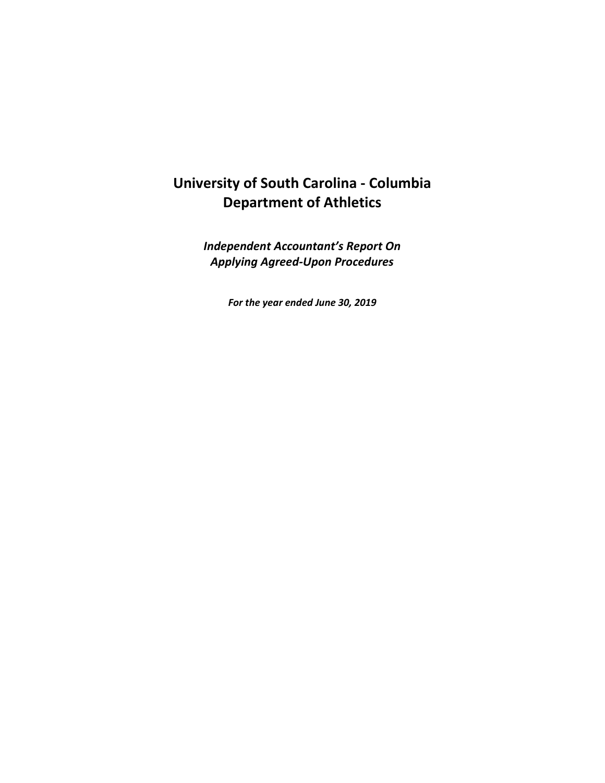# **University of South Carolina - Columbia Department of Athletics**

*Independent Accountant's Report On Applying Agreed-Upon Procedures*

*For the year ended June 30, 2019*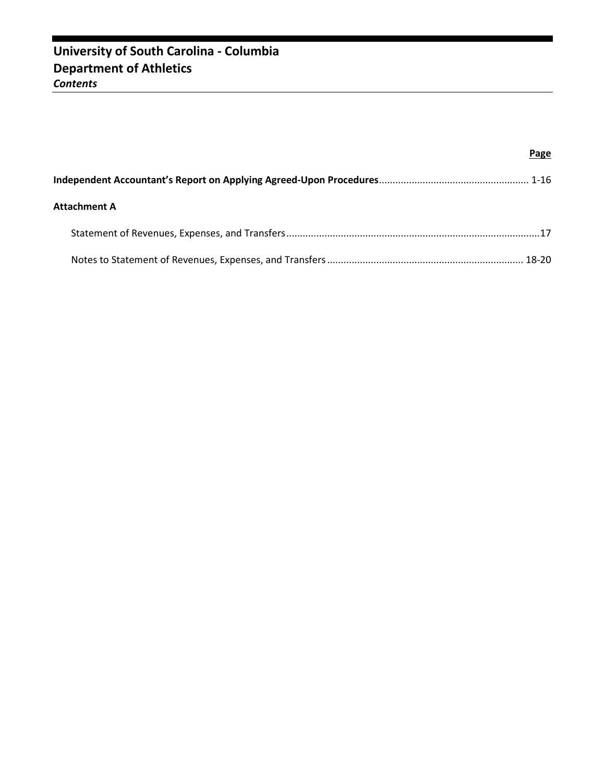|                     | Page |
|---------------------|------|
|                     |      |
| <b>Attachment A</b> |      |
|                     |      |
|                     |      |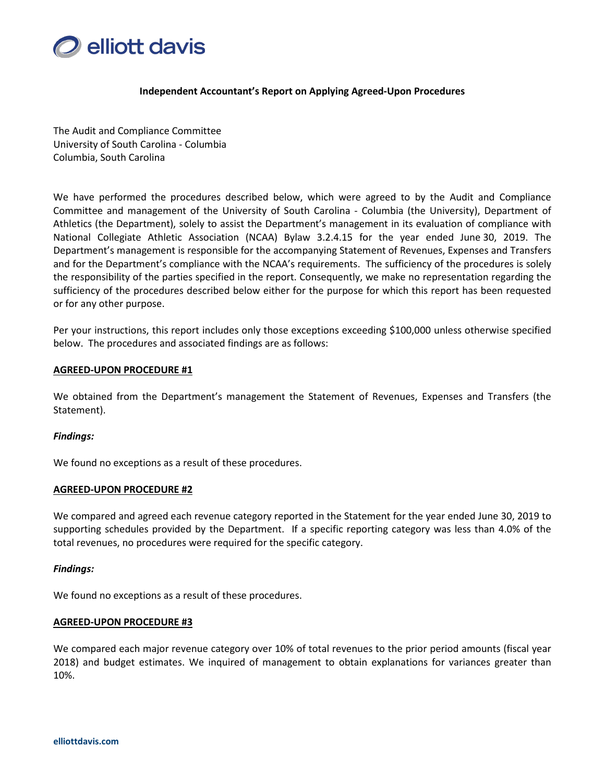

#### **Independent Accountant's Report on Applying Agreed-Upon Procedures**

The Audit and Compliance Committee University of South Carolina - Columbia Columbia, South Carolina

We have performed the procedures described below, which were agreed to by the Audit and Compliance Committee and management of the University of South Carolina - Columbia (the University), Department of Athletics (the Department), solely to assist the Department's management in its evaluation of compliance with National Collegiate Athletic Association (NCAA) Bylaw 3.2.4.15 for the year ended June 30, 2019. The Department's management is responsible for the accompanying Statement of Revenues, Expenses and Transfers and for the Department's compliance with the NCAA's requirements. The sufficiency of the procedures is solely the responsibility of the parties specified in the report. Consequently, we make no representation regarding the sufficiency of the procedures described below either for the purpose for which this report has been requested or for any other purpose.

Per your instructions, this report includes only those exceptions exceeding \$100,000 unless otherwise specified below. The procedures and associated findings are as follows:

#### **AGREED-UPON PROCEDURE #1**

We obtained from the Department's management the Statement of Revenues, Expenses and Transfers (the Statement).

#### *Findings:*

We found no exceptions as a result of these procedures.

#### **AGREED-UPON PROCEDURE #2**

We compared and agreed each revenue category reported in the Statement for the year ended June 30, 2019 to supporting schedules provided by the Department. If a specific reporting category was less than 4.0% of the total revenues, no procedures were required for the specific category.

#### *Findings:*

We found no exceptions as a result of these procedures.

#### **AGREED-UPON PROCEDURE #3**

We compared each major revenue category over 10% of total revenues to the prior period amounts (fiscal year 2018) and budget estimates. We inquired of management to obtain explanations for variances greater than 10%.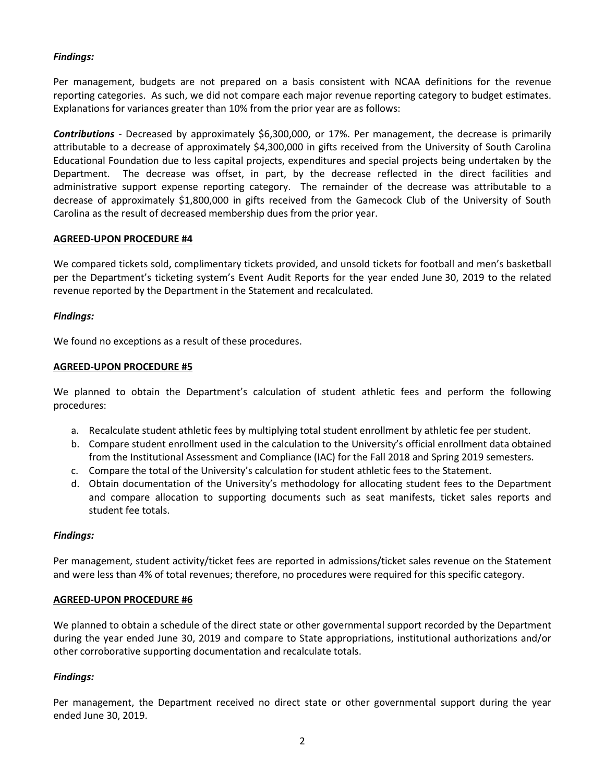Per management, budgets are not prepared on a basis consistent with NCAA definitions for the revenue reporting categories. As such, we did not compare each major revenue reporting category to budget estimates. Explanations for variances greater than 10% from the prior year are as follows:

*Contributions* - Decreased by approximately \$6,300,000, or 17%. Per management, the decrease is primarily attributable to a decrease of approximately \$4,300,000 in gifts received from the University of South Carolina Educational Foundation due to less capital projects, expenditures and special projects being undertaken by the Department. The decrease was offset, in part, by the decrease reflected in the direct facilities and administrative support expense reporting category. The remainder of the decrease was attributable to a decrease of approximately \$1,800,000 in gifts received from the Gamecock Club of the University of South Carolina as the result of decreased membership dues from the prior year.

# **AGREED-UPON PROCEDURE #4**

We compared tickets sold, complimentary tickets provided, and unsold tickets for football and men's basketball per the Department's ticketing system's Event Audit Reports for the year ended June 30, 2019 to the related revenue reported by the Department in the Statement and recalculated.

# *Findings:*

We found no exceptions as a result of these procedures.

# **AGREED-UPON PROCEDURE #5**

We planned to obtain the Department's calculation of student athletic fees and perform the following procedures:

- a. Recalculate student athletic fees by multiplying total student enrollment by athletic fee per student.
- b. Compare student enrollment used in the calculation to the University's official enrollment data obtained from the Institutional Assessment and Compliance (IAC) for the Fall 2018 and Spring 2019 semesters.
- c. Compare the total of the University's calculation for student athletic fees to the Statement.
- d. Obtain documentation of the University's methodology for allocating student fees to the Department and compare allocation to supporting documents such as seat manifests, ticket sales reports and student fee totals.

# *Findings:*

Per management, student activity/ticket fees are reported in admissions/ticket sales revenue on the Statement and were less than 4% of total revenues; therefore, no procedures were required for this specific category.

# **AGREED-UPON PROCEDURE #6**

We planned to obtain a schedule of the direct state or other governmental support recorded by the Department during the year ended June 30, 2019 and compare to State appropriations, institutional authorizations and/or other corroborative supporting documentation and recalculate totals.

# *Findings:*

Per management, the Department received no direct state or other governmental support during the year ended June 30, 2019.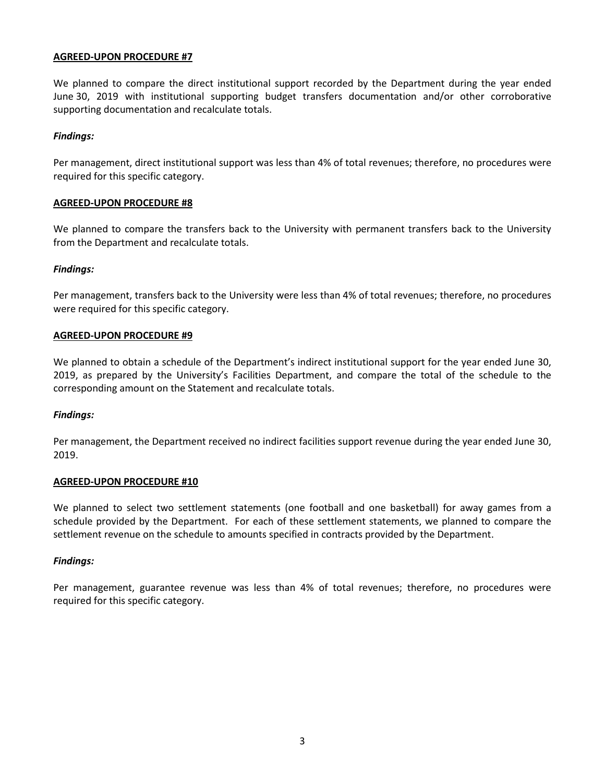We planned to compare the direct institutional support recorded by the Department during the year ended June 30, 2019 with institutional supporting budget transfers documentation and/or other corroborative supporting documentation and recalculate totals.

### *Findings:*

Per management, direct institutional support was less than 4% of total revenues; therefore, no procedures were required for this specific category.

#### **AGREED-UPON PROCEDURE #8**

We planned to compare the transfers back to the University with permanent transfers back to the University from the Department and recalculate totals.

### *Findings:*

Per management, transfers back to the University were less than 4% of total revenues; therefore, no procedures were required for this specific category.

#### **AGREED-UPON PROCEDURE #9**

We planned to obtain a schedule of the Department's indirect institutional support for the year ended June 30, 2019, as prepared by the University's Facilities Department, and compare the total of the schedule to the corresponding amount on the Statement and recalculate totals.

#### *Findings:*

Per management, the Department received no indirect facilities support revenue during the year ended June 30, 2019.

#### **AGREED-UPON PROCEDURE #10**

We planned to select two settlement statements (one football and one basketball) for away games from a schedule provided by the Department. For each of these settlement statements, we planned to compare the settlement revenue on the schedule to amounts specified in contracts provided by the Department.

#### *Findings:*

Per management, guarantee revenue was less than 4% of total revenues; therefore, no procedures were required for this specific category.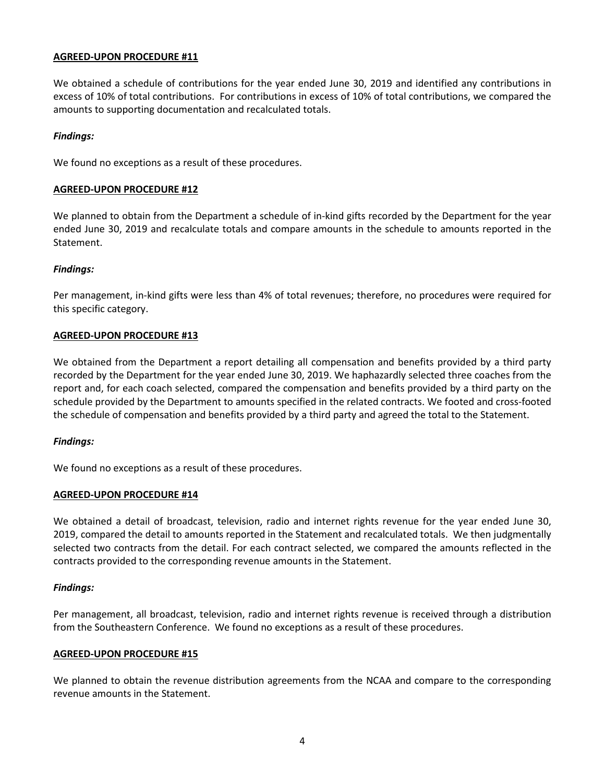We obtained a schedule of contributions for the year ended June 30, 2019 and identified any contributions in excess of 10% of total contributions. For contributions in excess of 10% of total contributions, we compared the amounts to supporting documentation and recalculated totals.

### *Findings:*

We found no exceptions as a result of these procedures.

#### **AGREED-UPON PROCEDURE #12**

We planned to obtain from the Department a schedule of in-kind gifts recorded by the Department for the year ended June 30, 2019 and recalculate totals and compare amounts in the schedule to amounts reported in the Statement.

### *Findings:*

Per management, in-kind gifts were less than 4% of total revenues; therefore, no procedures were required for this specific category.

### **AGREED-UPON PROCEDURE #13**

We obtained from the Department a report detailing all compensation and benefits provided by a third party recorded by the Department for the year ended June 30, 2019. We haphazardly selected three coaches from the report and, for each coach selected, compared the compensation and benefits provided by a third party on the schedule provided by the Department to amounts specified in the related contracts. We footed and cross-footed the schedule of compensation and benefits provided by a third party and agreed the total to the Statement.

#### *Findings:*

We found no exceptions as a result of these procedures.

#### **AGREED-UPON PROCEDURE #14**

We obtained a detail of broadcast, television, radio and internet rights revenue for the year ended June 30, 2019, compared the detail to amounts reported in the Statement and recalculated totals. We then judgmentally selected two contracts from the detail. For each contract selected, we compared the amounts reflected in the contracts provided to the corresponding revenue amounts in the Statement.

#### *Findings:*

Per management, all broadcast, television, radio and internet rights revenue is received through a distribution from the Southeastern Conference. We found no exceptions as a result of these procedures.

#### **AGREED-UPON PROCEDURE #15**

We planned to obtain the revenue distribution agreements from the NCAA and compare to the corresponding revenue amounts in the Statement.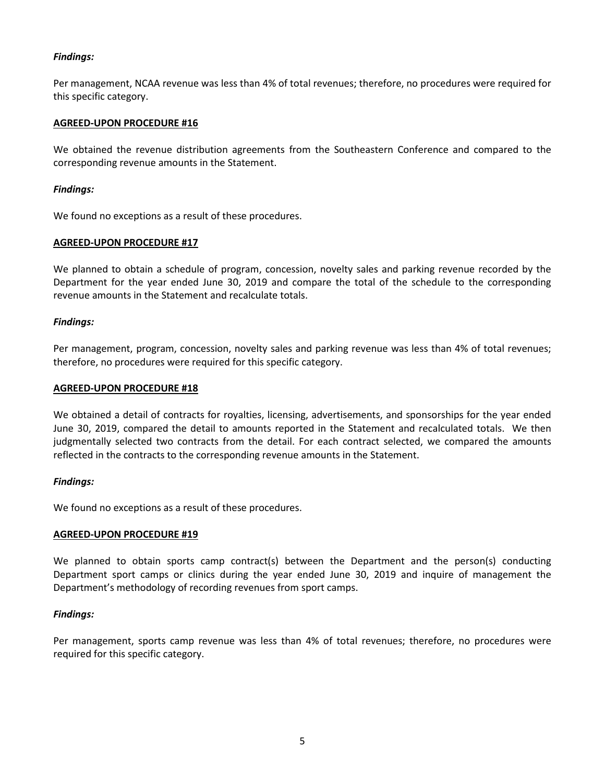Per management, NCAA revenue was less than 4% of total revenues; therefore, no procedures were required for this specific category.

# **AGREED-UPON PROCEDURE #16**

We obtained the revenue distribution agreements from the Southeastern Conference and compared to the corresponding revenue amounts in the Statement.

# *Findings:*

We found no exceptions as a result of these procedures.

### **AGREED-UPON PROCEDURE #17**

We planned to obtain a schedule of program, concession, novelty sales and parking revenue recorded by the Department for the year ended June 30, 2019 and compare the total of the schedule to the corresponding revenue amounts in the Statement and recalculate totals.

### *Findings:*

Per management, program, concession, novelty sales and parking revenue was less than 4% of total revenues; therefore, no procedures were required for this specific category.

### **AGREED-UPON PROCEDURE #18**

We obtained a detail of contracts for royalties, licensing, advertisements, and sponsorships for the year ended June 30, 2019, compared the detail to amounts reported in the Statement and recalculated totals. We then judgmentally selected two contracts from the detail. For each contract selected, we compared the amounts reflected in the contracts to the corresponding revenue amounts in the Statement.

# *Findings:*

We found no exceptions as a result of these procedures.

#### **AGREED-UPON PROCEDURE #19**

We planned to obtain sports camp contract(s) between the Department and the person(s) conducting Department sport camps or clinics during the year ended June 30, 2019 and inquire of management the Department's methodology of recording revenues from sport camps.

# *Findings:*

Per management, sports camp revenue was less than 4% of total revenues; therefore, no procedures were required for this specific category.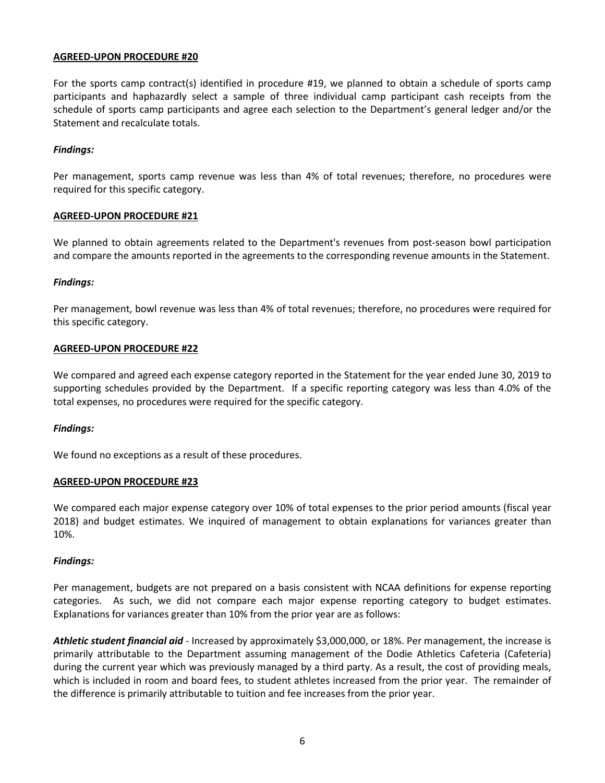For the sports camp contract(s) identified in procedure #19, we planned to obtain a schedule of sports camp participants and haphazardly select a sample of three individual camp participant cash receipts from the schedule of sports camp participants and agree each selection to the Department's general ledger and/or the Statement and recalculate totals.

#### *Findings:*

Per management, sports camp revenue was less than 4% of total revenues; therefore, no procedures were required for this specific category.

### **AGREED-UPON PROCEDURE #21**

We planned to obtain agreements related to the Department's revenues from post-season bowl participation and compare the amounts reported in the agreements to the corresponding revenue amounts in the Statement.

### *Findings:*

Per management, bowl revenue was less than 4% of total revenues; therefore, no procedures were required for this specific category.

### **AGREED-UPON PROCEDURE #22**

We compared and agreed each expense category reported in the Statement for the year ended June 30, 2019 to supporting schedules provided by the Department. If a specific reporting category was less than 4.0% of the total expenses, no procedures were required for the specific category.

#### *Findings:*

We found no exceptions as a result of these procedures.

#### **AGREED-UPON PROCEDURE #23**

We compared each major expense category over 10% of total expenses to the prior period amounts (fiscal year 2018) and budget estimates. We inquired of management to obtain explanations for variances greater than 10%.

#### *Findings:*

Per management, budgets are not prepared on a basis consistent with NCAA definitions for expense reporting categories. As such, we did not compare each major expense reporting category to budget estimates. Explanations for variances greater than 10% from the prior year are as follows:

*Athletic student financial aid* - Increased by approximately \$3,000,000, or 18%. Per management, the increase is primarily attributable to the Department assuming management of the Dodie Athletics Cafeteria (Cafeteria) during the current year which was previously managed by a third party. As a result, the cost of providing meals, which is included in room and board fees, to student athletes increased from the prior year. The remainder of the difference is primarily attributable to tuition and fee increases from the prior year.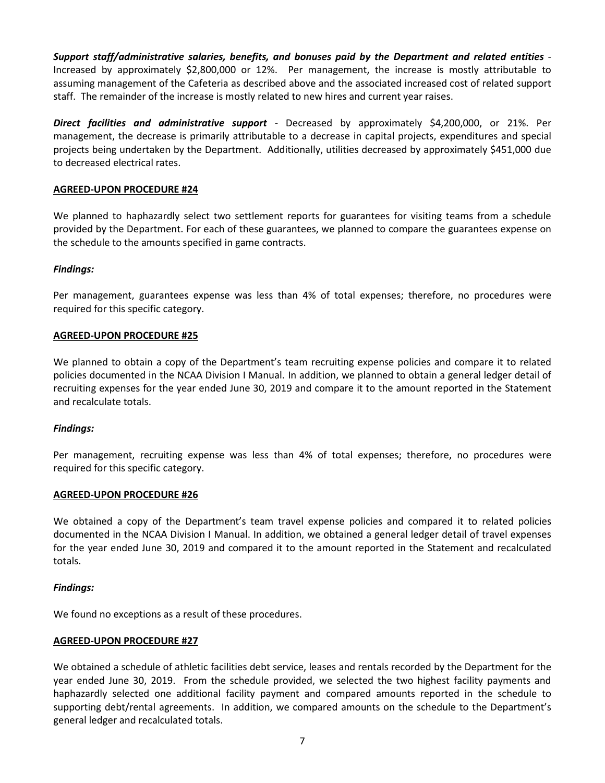*Support staff/administrative salaries, benefits, and bonuses paid by the Department and related entities -* Increased by approximately \$2,800,000 or 12%. Per management, the increase is mostly attributable to assuming management of the Cafeteria as described above and the associated increased cost of related support staff. The remainder of the increase is mostly related to new hires and current year raises.

*Direct facilities and administrative support* - Decreased by approximately \$4,200,000, or 21%. Per management, the decrease is primarily attributable to a decrease in capital projects, expenditures and special projects being undertaken by the Department. Additionally, utilities decreased by approximately \$451,000 due to decreased electrical rates.

# **AGREED-UPON PROCEDURE #24**

We planned to haphazardly select two settlement reports for guarantees for visiting teams from a schedule provided by the Department. For each of these guarantees, we planned to compare the guarantees expense on the schedule to the amounts specified in game contracts.

### *Findings:*

Per management, guarantees expense was less than 4% of total expenses; therefore, no procedures were required for this specific category.

#### **AGREED-UPON PROCEDURE #25**

We planned to obtain a copy of the Department's team recruiting expense policies and compare it to related policies documented in the NCAA Division I Manual. In addition, we planned to obtain a general ledger detail of recruiting expenses for the year ended June 30, 2019 and compare it to the amount reported in the Statement and recalculate totals.

#### *Findings:*

Per management, recruiting expense was less than 4% of total expenses; therefore, no procedures were required for this specific category.

#### **AGREED-UPON PROCEDURE #26**

We obtained a copy of the Department's team travel expense policies and compared it to related policies documented in the NCAA Division I Manual. In addition, we obtained a general ledger detail of travel expenses for the year ended June 30, 2019 and compared it to the amount reported in the Statement and recalculated totals.

#### *Findings:*

We found no exceptions as a result of these procedures.

#### **AGREED-UPON PROCEDURE #27**

We obtained a schedule of athletic facilities debt service, leases and rentals recorded by the Department for the year ended June 30, 2019. From the schedule provided, we selected the two highest facility payments and haphazardly selected one additional facility payment and compared amounts reported in the schedule to supporting debt/rental agreements. In addition, we compared amounts on the schedule to the Department's general ledger and recalculated totals.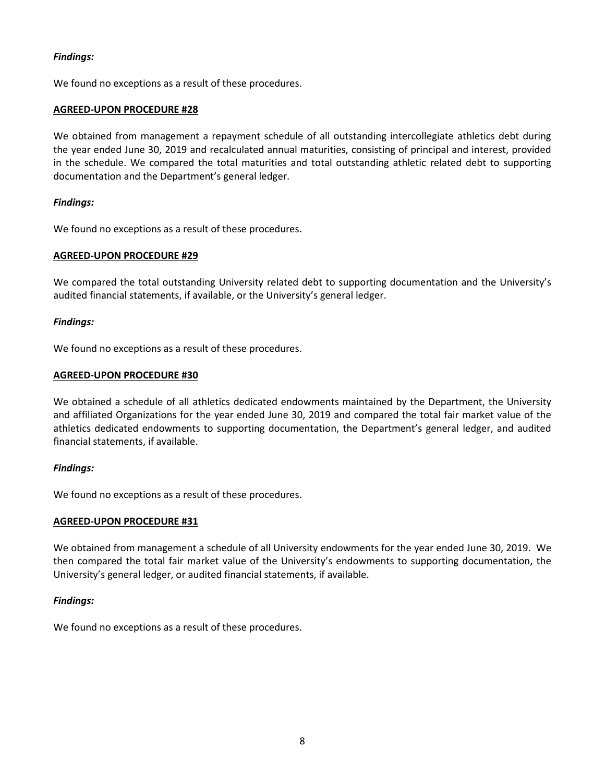We found no exceptions as a result of these procedures.

# **AGREED-UPON PROCEDURE #28**

We obtained from management a repayment schedule of all outstanding intercollegiate athletics debt during the year ended June 30, 2019 and recalculated annual maturities, consisting of principal and interest, provided in the schedule. We compared the total maturities and total outstanding athletic related debt to supporting documentation and the Department's general ledger.

# *Findings:*

We found no exceptions as a result of these procedures.

### **AGREED-UPON PROCEDURE #29**

We compared the total outstanding University related debt to supporting documentation and the University's audited financial statements, if available, or the University's general ledger.

### *Findings:*

We found no exceptions as a result of these procedures.

### **AGREED-UPON PROCEDURE #30**

We obtained a schedule of all athletics dedicated endowments maintained by the Department, the University and affiliated Organizations for the year ended June 30, 2019 and compared the total fair market value of the athletics dedicated endowments to supporting documentation, the Department's general ledger, and audited financial statements, if available.

# *Findings:*

We found no exceptions as a result of these procedures.

#### **AGREED-UPON PROCEDURE #31**

We obtained from management a schedule of all University endowments for the year ended June 30, 2019. We then compared the total fair market value of the University's endowments to supporting documentation, the University's general ledger, or audited financial statements, if available.

# *Findings:*

We found no exceptions as a result of these procedures.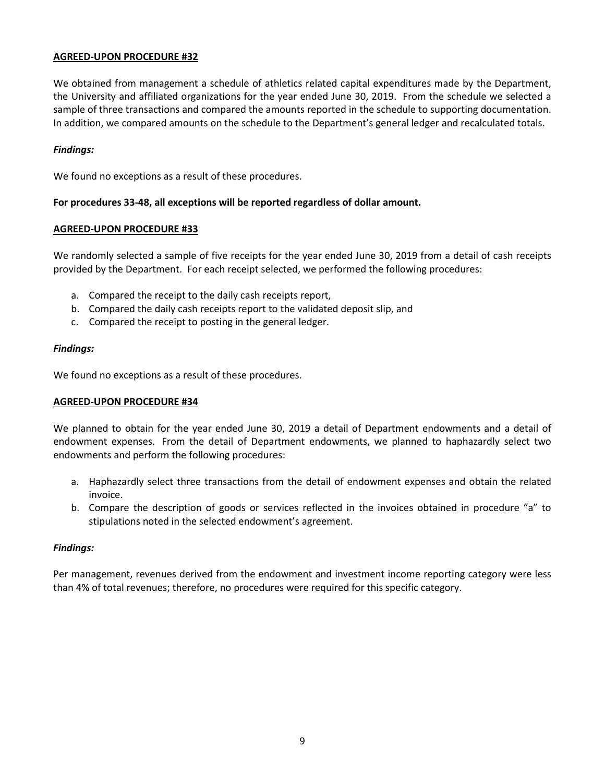We obtained from management a schedule of athletics related capital expenditures made by the Department, the University and affiliated organizations for the year ended June 30, 2019. From the schedule we selected a sample of three transactions and compared the amounts reported in the schedule to supporting documentation. In addition, we compared amounts on the schedule to the Department's general ledger and recalculated totals.

### *Findings:*

We found no exceptions as a result of these procedures.

### **For procedures 33-48, all exceptions will be reported regardless of dollar amount.**

### **AGREED-UPON PROCEDURE #33**

We randomly selected a sample of five receipts for the year ended June 30, 2019 from a detail of cash receipts provided by the Department. For each receipt selected, we performed the following procedures:

- a. Compared the receipt to the daily cash receipts report,
- b. Compared the daily cash receipts report to the validated deposit slip, and
- c. Compared the receipt to posting in the general ledger.

### *Findings:*

We found no exceptions as a result of these procedures.

# **AGREED-UPON PROCEDURE #34**

We planned to obtain for the year ended June 30, 2019 a detail of Department endowments and a detail of endowment expenses. From the detail of Department endowments, we planned to haphazardly select two endowments and perform the following procedures:

- a. Haphazardly select three transactions from the detail of endowment expenses and obtain the related invoice.
- b. Compare the description of goods or services reflected in the invoices obtained in procedure "a" to stipulations noted in the selected endowment's agreement.

# *Findings:*

Per management, revenues derived from the endowment and investment income reporting category were less than 4% of total revenues; therefore, no procedures were required for this specific category.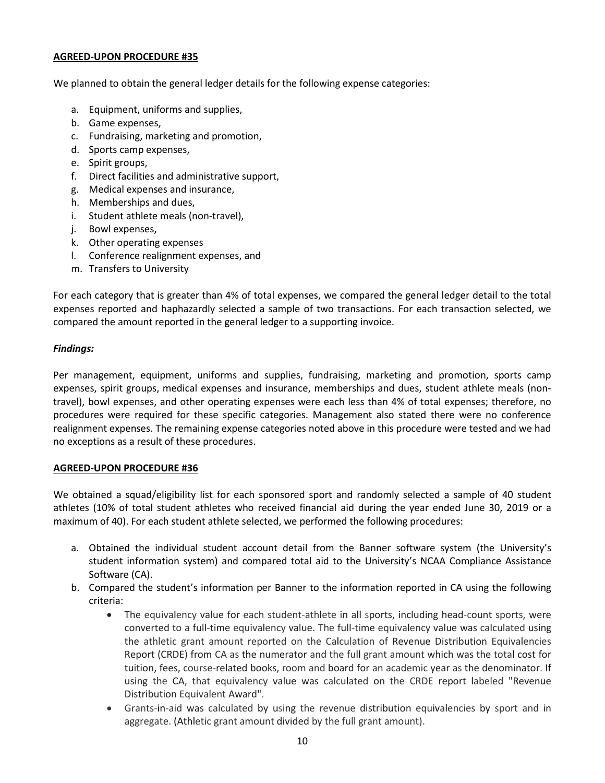We planned to obtain the general ledger details for the following expense categories:

- a. Equipment, uniforms and supplies,
- b. Game expenses,
- c. Fundraising, marketing and promotion,
- d. Sports camp expenses,
- e. Spirit groups,
- f. Direct facilities and administrative support,
- g. Medical expenses and insurance,
- h. Memberships and dues,
- i. Student athlete meals (non-travel),
- j. Bowl expenses,
- k. Other operating expenses
- l. Conference realignment expenses, and
- m. Transfers to University

For each category that is greater than 4% of total expenses, we compared the general ledger detail to the total expenses reported and haphazardly selected a sample of two transactions. For each transaction selected, we compared the amount reported in the general ledger to a supporting invoice.

# *Findings:*

Per management, equipment, uniforms and supplies, fundraising, marketing and promotion, sports camp expenses, spirit groups, medical expenses and insurance, memberships and dues, student athlete meals (nontravel), bowl expenses, and other operating expenses were each less than 4% of total expenses; therefore, no procedures were required for these specific categories. Management also stated there were no conference realignment expenses. The remaining expense categories noted above in this procedure were tested and we had no exceptions as a result of these procedures.

# **AGREED-UPON PROCEDURE #36**

We obtained a squad/eligibility list for each sponsored sport and randomly selected a sample of 40 student athletes (10% of total student athletes who received financial aid during the year ended June 30, 2019 or a maximum of 40). For each student athlete selected, we performed the following procedures:

- a. Obtained the individual student account detail from the Banner software system (the University's student information system) and compared total aid to the University's NCAA Compliance Assistance Software (CA).
- b. Compared the student's information per Banner to the information reported in CA using the following criteria:
	- The equivalency value for each student-athlete in all sports, including head-count sports, were converted to a full-time equivalency value. The full-time equivalency value was calculated using the athletic grant amount reported on the Calculation of Revenue Distribution Equivalencies Report (CRDE) from CA as the numerator and the full grant amount which was the total cost for tuition, fees, course-related books, room and board for an academic year as the denominator. If using the CA, that equivalency value was calculated on the CRDE report labeled "Revenue Distribution Equivalent Award".
	- Grants-in-aid was calculated by using the revenue distribution equivalencies by sport and in aggregate. (Athletic grant amount divided by the full grant amount).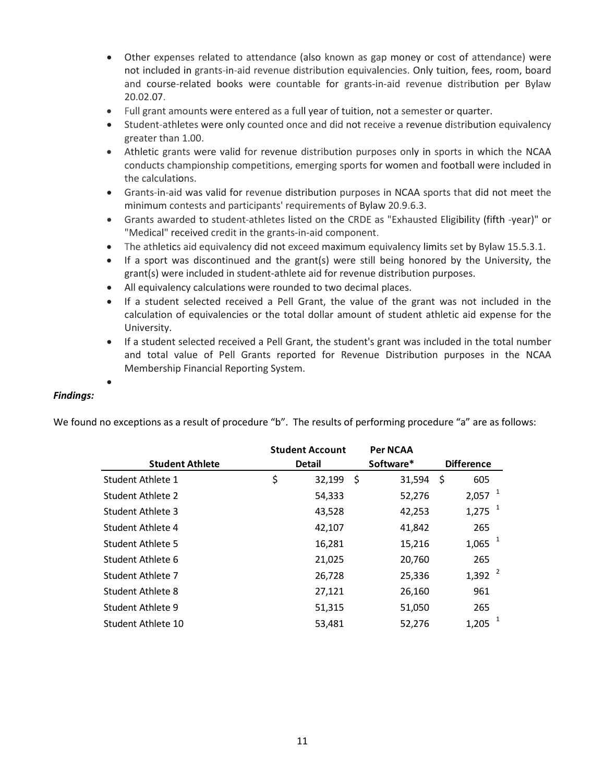- Other expenses related to attendance (also known as gap money or cost of attendance) were not included in grants-in-aid revenue distribution equivalencies. Only tuition, fees, room, board and course-related books were countable for grants-in-aid revenue distribution per Bylaw 20.02.07.
- Full grant amounts were entered as a full year of tuition, not a semester or quarter.
- Student-athletes were only counted once and did not receive a revenue distribution equivalency greater than 1.00.
- Athletic grants were valid for revenue distribution purposes only in sports in which the NCAA conducts championship competitions, emerging sports for women and football were included in the calculations.
- Grants-in-aid was valid for revenue distribution purposes in NCAA sports that did not meet the minimum contests and participants' requirements of Bylaw 20.9.6.3.
- Grants awarded to student-athletes listed on the CRDE as "Exhausted Eligibility (fifth -year)" or "Medical" received credit in the grants-in-aid component.
- The athletics aid equivalency did not exceed maximum equivalency limits set by Bylaw 15.5.3.1.
- If a sport was discontinued and the grant(s) were still being honored by the University, the grant(s) were included in student-athlete aid for revenue distribution purposes.
- All equivalency calculations were rounded to two decimal places.
- If a student selected received a Pell Grant, the value of the grant was not included in the calculation of equivalencies or the total dollar amount of student athletic aid expense for the University.
- If a student selected received a Pell Grant, the student's grant was included in the total number and total value of Pell Grants reported for Revenue Distribution purposes in the NCAA Membership Financial Reporting System.

•

# *Findings:*

We found no exceptions as a result of procedure "b". The results of performing procedure "a" are as follows:

|                        |               | <b>Student Account</b> |           | <b>Per NCAA</b> |                   |                      |
|------------------------|---------------|------------------------|-----------|-----------------|-------------------|----------------------|
| <b>Student Athlete</b> | <b>Detail</b> |                        | Software* |                 | <b>Difference</b> |                      |
| Student Athlete 1      | \$            | 32,199                 | Ŝ         | 31,594          | Ŝ                 | 605                  |
| Student Athlete 2      |               | 54,333                 |           | 52,276          |                   | $2,057$ <sup>1</sup> |
| Student Athlete 3      |               | 43,528                 |           | 42,253          |                   | $1,275$ <sup>1</sup> |
| Student Athlete 4      |               | 42,107                 |           | 41,842          |                   | 265                  |
| Student Athlete 5      |               | 16,281                 |           | 15,216          |                   | $1,065$ <sup>1</sup> |
| Student Athlete 6      |               | 21,025                 |           | 20,760          |                   | 265                  |
| Student Athlete 7      |               | 26,728                 |           | 25,336          |                   | $1,392$ <sup>2</sup> |
| Student Athlete 8      |               | 27,121                 |           | 26,160          |                   | 961                  |
| Student Athlete 9      |               | 51,315                 |           | 51,050          |                   | 265                  |
| Student Athlete 10     |               | 53,481                 |           | 52,276          |                   | 1,205                |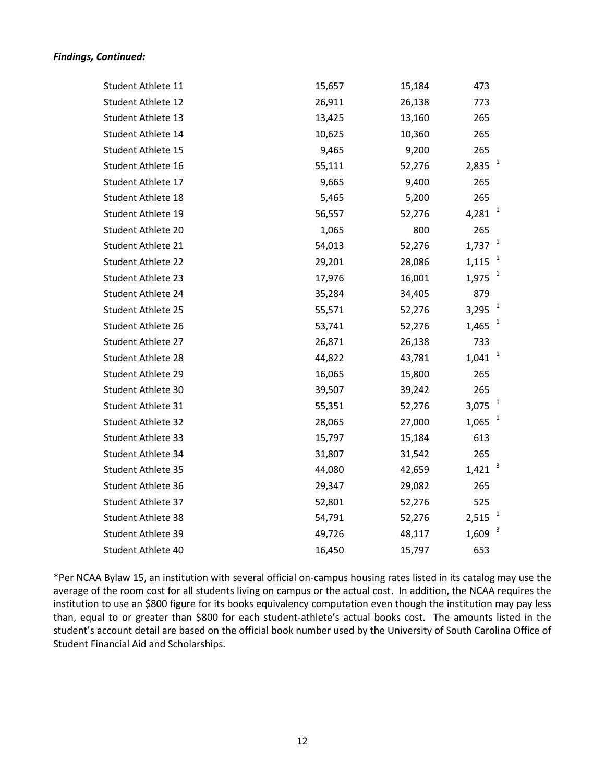# *Findings, Continued:*

| Student Athlete 11        | 15,657 | 15,184 | 473                   |
|---------------------------|--------|--------|-----------------------|
| Student Athlete 12        | 26,911 | 26,138 | 773                   |
| Student Athlete 13        | 13,425 | 13,160 | 265                   |
| Student Athlete 14        | 10,625 | 10,360 | 265                   |
| Student Athlete 15        | 9,465  | 9,200  | 265                   |
| Student Athlete 16        | 55,111 | 52,276 | 2,835                 |
| Student Athlete 17        | 9,665  | 9,400  | 265                   |
| Student Athlete 18        | 5,465  | 5,200  | 265                   |
| Student Athlete 19        | 56,557 | 52,276 | 1<br>4,281            |
| Student Athlete 20        | 1,065  | 800    | 265                   |
| Student Athlete 21        | 54,013 | 52,276 | $\mathbf{1}$<br>1,737 |
| <b>Student Athlete 22</b> | 29,201 | 28,086 | 1,115                 |
| Student Athlete 23        | 17,976 | 16,001 | $\mathbf{1}$<br>1,975 |
| Student Athlete 24        | 35,284 | 34,405 | 879                   |
| <b>Student Athlete 25</b> | 55,571 | 52,276 | $\mathbf{1}$<br>3,295 |
| Student Athlete 26        | 53,741 | 52,276 | 1,465                 |
| Student Athlete 27        | 26,871 | 26,138 | 733                   |
| Student Athlete 28        | 44,822 | 43,781 | $\mathbf{1}$<br>1,041 |
| Student Athlete 29        | 16,065 | 15,800 | 265                   |
| Student Athlete 30        | 39,507 | 39,242 | 265                   |
| Student Athlete 31        | 55,351 | 52,276 | $\mathbf{1}$<br>3,075 |
| Student Athlete 32        | 28,065 | 27,000 | 1,065                 |
| Student Athlete 33        | 15,797 | 15,184 | 613                   |
| Student Athlete 34        | 31,807 | 31,542 | 265                   |
| <b>Student Athlete 35</b> | 44,080 | 42,659 | 3<br>1,421            |
| Student Athlete 36        | 29,347 | 29,082 | 265                   |
| Student Athlete 37        | 52,801 | 52,276 | 525                   |
| <b>Student Athlete 38</b> | 54,791 | 52,276 | 2,515                 |
| Student Athlete 39        | 49,726 | 48,117 | 3<br>1,609            |
| Student Athlete 40        | 16,450 | 15,797 | 653                   |
|                           |        |        |                       |

\*Per NCAA Bylaw 15, an institution with several official on-campus housing rates listed in its catalog may use the average of the room cost for all students living on campus or the actual cost. In addition, the NCAA requires the institution to use an \$800 figure for its books equivalency computation even though the institution may pay less than, equal to or greater than \$800 for each student-athlete's actual books cost. The amounts listed in the student's account detail are based on the official book number used by the University of South Carolina Office of Student Financial Aid and Scholarships.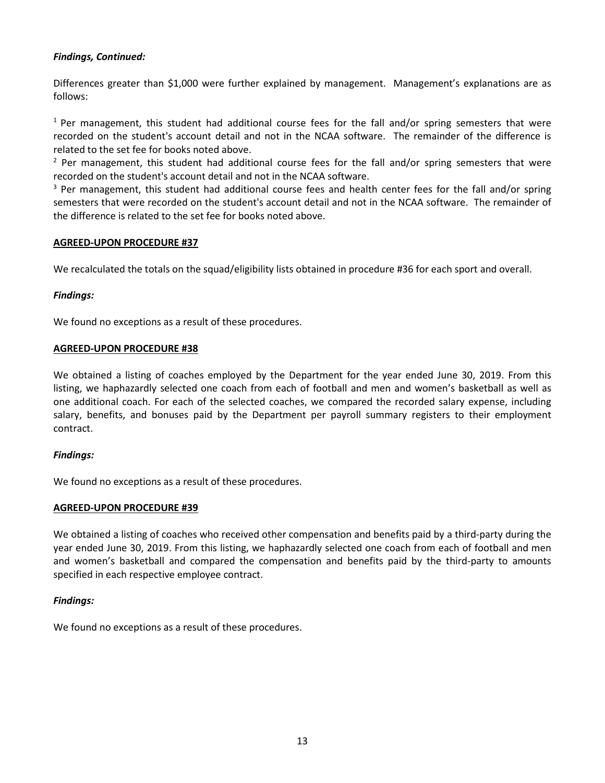# *Findings, Continued:*

Differences greater than \$1,000 were further explained by management. Management's explanations are as follows:

 $1$  Per management, this student had additional course fees for the fall and/or spring semesters that were recorded on the student's account detail and not in the NCAA software. The remainder of the difference is related to the set fee for books noted above.

 $2$  Per management, this student had additional course fees for the fall and/or spring semesters that were recorded on the student's account detail and not in the NCAA software.

<sup>3</sup> Per management, this student had additional course fees and health center fees for the fall and/or spring semesters that were recorded on the student's account detail and not in the NCAA software. The remainder of the difference is related to the set fee for books noted above.

# **AGREED-UPON PROCEDURE #37**

We recalculated the totals on the squad/eligibility lists obtained in procedure #36 for each sport and overall.

### *Findings:*

We found no exceptions as a result of these procedures.

### **AGREED-UPON PROCEDURE #38**

We obtained a listing of coaches employed by the Department for the year ended June 30, 2019. From this listing, we haphazardly selected one coach from each of football and men and women's basketball as well as one additional coach. For each of the selected coaches, we compared the recorded salary expense, including salary, benefits, and bonuses paid by the Department per payroll summary registers to their employment contract.

# *Findings:*

We found no exceptions as a result of these procedures.

# **AGREED-UPON PROCEDURE #39**

We obtained a listing of coaches who received other compensation and benefits paid by a third-party during the year ended June 30, 2019. From this listing, we haphazardly selected one coach from each of football and men and women's basketball and compared the compensation and benefits paid by the third-party to amounts specified in each respective employee contract.

# *Findings:*

We found no exceptions as a result of these procedures.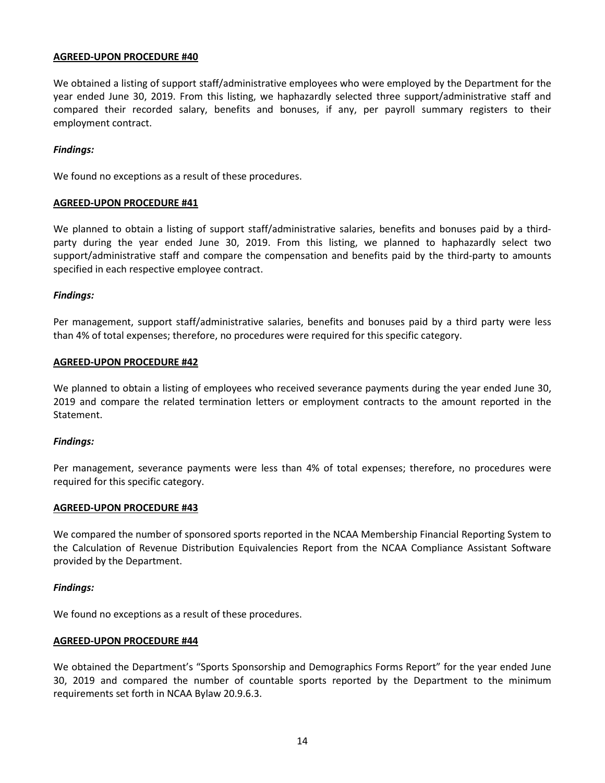We obtained a listing of support staff/administrative employees who were employed by the Department for the year ended June 30, 2019. From this listing, we haphazardly selected three support/administrative staff and compared their recorded salary, benefits and bonuses, if any, per payroll summary registers to their employment contract.

#### *Findings:*

We found no exceptions as a result of these procedures.

### **AGREED-UPON PROCEDURE #41**

We planned to obtain a listing of support staff/administrative salaries, benefits and bonuses paid by a thirdparty during the year ended June 30, 2019. From this listing, we planned to haphazardly select two support/administrative staff and compare the compensation and benefits paid by the third-party to amounts specified in each respective employee contract.

### *Findings:*

Per management, support staff/administrative salaries, benefits and bonuses paid by a third party were less than 4% of total expenses; therefore, no procedures were required for this specific category.

#### **AGREED-UPON PROCEDURE #42**

We planned to obtain a listing of employees who received severance payments during the year ended June 30, 2019 and compare the related termination letters or employment contracts to the amount reported in the Statement.

#### *Findings:*

Per management, severance payments were less than 4% of total expenses; therefore, no procedures were required for this specific category.

#### **AGREED-UPON PROCEDURE #43**

We compared the number of sponsored sports reported in the NCAA Membership Financial Reporting System to the Calculation of Revenue Distribution Equivalencies Report from the NCAA Compliance Assistant Software provided by the Department.

#### *Findings:*

We found no exceptions as a result of these procedures.

#### **AGREED-UPON PROCEDURE #44**

We obtained the Department's "Sports Sponsorship and Demographics Forms Report" for the year ended June 30, 2019 and compared the number of countable sports reported by the Department to the minimum requirements set forth in NCAA Bylaw 20.9.6.3.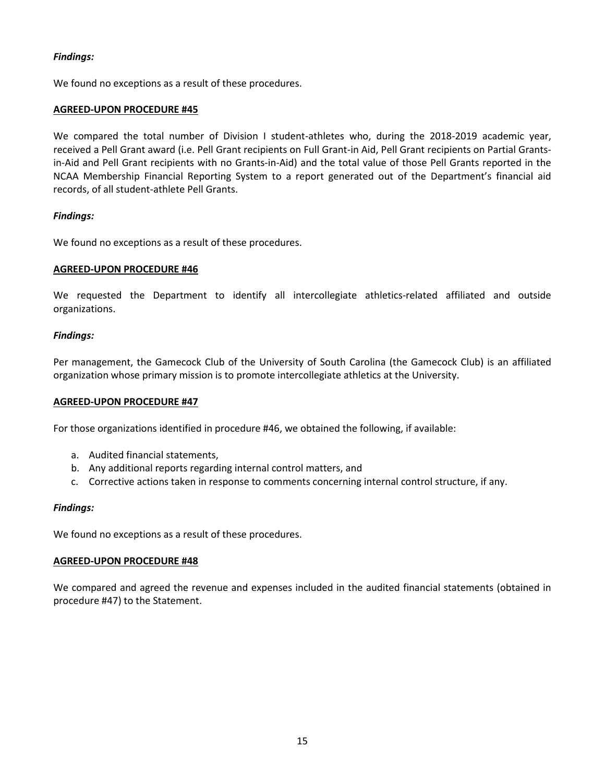We found no exceptions as a result of these procedures.

# **AGREED-UPON PROCEDURE #45**

We compared the total number of Division I student-athletes who, during the 2018-2019 academic year, received a Pell Grant award (i.e. Pell Grant recipients on Full Grant-in Aid, Pell Grant recipients on Partial Grantsin-Aid and Pell Grant recipients with no Grants-in-Aid) and the total value of those Pell Grants reported in the NCAA Membership Financial Reporting System to a report generated out of the Department's financial aid records, of all student-athlete Pell Grants.

### *Findings:*

We found no exceptions as a result of these procedures.

### **AGREED-UPON PROCEDURE #46**

We requested the Department to identify all intercollegiate athletics-related affiliated and outside organizations.

### *Findings:*

Per management, the Gamecock Club of the University of South Carolina (the Gamecock Club) is an affiliated organization whose primary mission is to promote intercollegiate athletics at the University.

#### **AGREED-UPON PROCEDURE #47**

For those organizations identified in procedure #46, we obtained the following, if available:

- a. Audited financial statements,
- b. Any additional reports regarding internal control matters, and
- c. Corrective actions taken in response to comments concerning internal control structure, if any.

#### *Findings:*

We found no exceptions as a result of these procedures.

#### **AGREED-UPON PROCEDURE #48**

We compared and agreed the revenue and expenses included in the audited financial statements (obtained in procedure #47) to the Statement.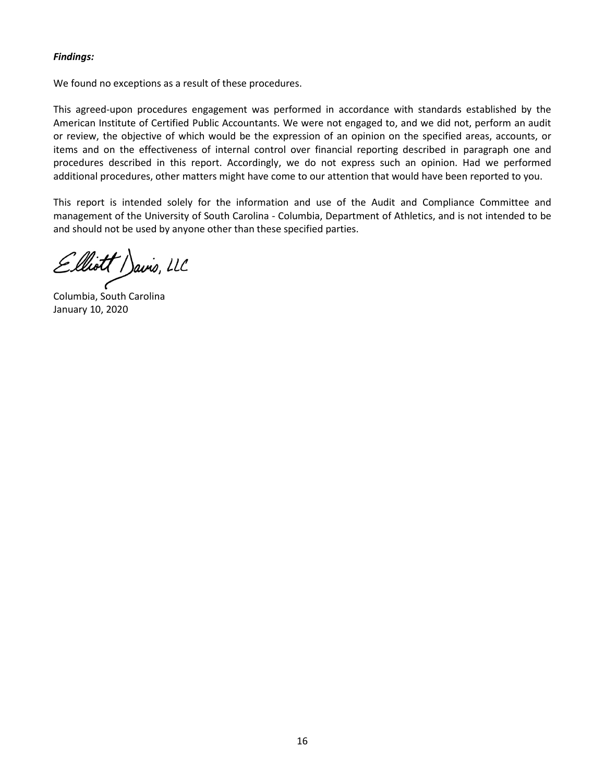We found no exceptions as a result of these procedures.

This agreed-upon procedures engagement was performed in accordance with standards established by the American Institute of Certified Public Accountants. We were not engaged to, and we did not, perform an audit or review, the objective of which would be the expression of an opinion on the specified areas, accounts, or items and on the effectiveness of internal control over financial reporting described in paragraph one and procedures described in this report. Accordingly, we do not express such an opinion. Had we performed additional procedures, other matters might have come to our attention that would have been reported to you.

This report is intended solely for the information and use of the Audit and Compliance Committee and management of the University of South Carolina - Columbia, Department of Athletics, and is not intended to be and should not be used by anyone other than these specified parties.

Elliott Davis, LLC

Columbia, South Carolina January 10, 2020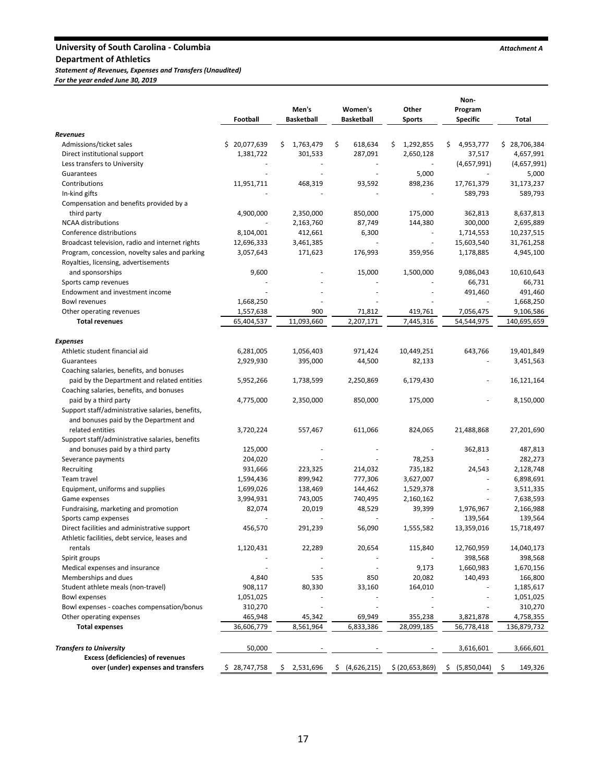# University of South Carolina - Columbia *Attachment A*

**Department of Athletics**

*Statement of Revenues, Expenses and Transfers (Unaudited)*

*For the year ended June 30, 2019*

|                                                  | Football         | Men's<br><b>Basketball</b> | Women's<br><b>Basketball</b> | Other<br><b>Sports</b> | Non-<br>Program<br><b>Specific</b> | Total          |
|--------------------------------------------------|------------------|----------------------------|------------------------------|------------------------|------------------------------------|----------------|
| Revenues                                         |                  |                            |                              |                        |                                    |                |
| Admissions/ticket sales                          | 20,077,639<br>\$ | \$<br>1,763,479            | \$<br>618,634                | 1,292,855<br>\$        | \$<br>4,953,777                    | \$28,706,384   |
| Direct institutional support                     | 1,381,722        | 301,533                    | 287,091                      | 2,650,128              | 37,517                             | 4,657,991      |
| Less transfers to University                     |                  |                            |                              |                        | (4,657,991)                        | (4,657,991)    |
| Guarantees                                       |                  |                            | ä,                           | 5,000                  |                                    | 5,000          |
| Contributions                                    | 11,951,711       | 468,319                    | 93,592                       | 898,236                | 17,761,379                         | 31,173,237     |
| In-kind gifts                                    |                  |                            |                              |                        | 589,793                            | 589,793        |
| Compensation and benefits provided by a          |                  |                            |                              |                        |                                    |                |
| third party                                      | 4,900,000        | 2,350,000                  | 850,000                      | 175,000                | 362,813                            | 8,637,813      |
| <b>NCAA</b> distributions                        |                  | 2,163,760                  | 87,749                       | 144,380                | 300,000                            | 2,695,889      |
| Conference distributions                         | 8,104,001        | 412,661                    | 6,300                        |                        | 1,714,553                          | 10,237,515     |
| Broadcast television, radio and internet rights  | 12,696,333       | 3,461,385                  |                              | ÷,                     | 15,603,540                         | 31,761,258     |
| Program, concession, novelty sales and parking   | 3,057,643        | 171,623                    | 176,993                      | 359,956                | 1,178,885                          | 4,945,100      |
| Royalties, licensing, advertisements             |                  |                            |                              |                        |                                    |                |
| and sponsorships                                 | 9,600            |                            | 15,000                       | 1,500,000              | 9,086,043                          | 10,610,643     |
| Sports camp revenues                             |                  |                            |                              |                        | 66,731                             | 66,731         |
| Endowment and investment income                  |                  |                            |                              |                        | 491,460                            | 491,460        |
| Bowl revenues                                    | 1,668,250        |                            |                              |                        |                                    | 1,668,250      |
| Other operating revenues                         | 1,557,638        | 900                        | 71,812                       | 419,761                | 7,056,475                          | 9,106,586      |
| <b>Total revenues</b>                            | 65,404,537       | 11,093,660                 | 2,207,171                    | 7,445,316              | 54,544,975                         | 140,695,659    |
|                                                  |                  |                            |                              |                        |                                    |                |
| Expenses                                         |                  |                            |                              |                        |                                    |                |
| Athletic student financial aid                   | 6,281,005        | 1,056,403                  | 971,424                      | 10,449,251             | 643,766                            | 19,401,849     |
| Guarantees                                       | 2,929,930        | 395,000                    | 44,500                       | 82,133                 |                                    | 3,451,563      |
| Coaching salaries, benefits, and bonuses         |                  |                            |                              |                        |                                    |                |
| paid by the Department and related entities      | 5,952,266        | 1,738,599                  | 2,250,869                    | 6,179,430              |                                    | 16,121,164     |
| Coaching salaries, benefits, and bonuses         |                  |                            |                              |                        |                                    |                |
| paid by a third party                            | 4,775,000        | 2,350,000                  | 850,000                      | 175,000                |                                    | 8,150,000      |
| Support staff/administrative salaries, benefits, |                  |                            |                              |                        |                                    |                |
| and bonuses paid by the Department and           |                  |                            |                              |                        |                                    |                |
| related entities                                 | 3,720,224        | 557,467                    | 611,066                      | 824,065                | 21,488,868                         | 27,201,690     |
| Support staff/administrative salaries, benefits  |                  |                            |                              |                        |                                    |                |
| and bonuses paid by a third party                | 125,000          |                            |                              | $\sim$                 | 362,813                            | 487,813        |
| Severance payments                               | 204,020          |                            |                              | 78,253                 |                                    | 282,273        |
| Recruiting                                       | 931,666          | 223,325                    | 214,032                      | 735,182                | 24,543                             | 2,128,748      |
| Team travel                                      | 1,594,436        | 899,942                    | 777,306                      | 3,627,007              |                                    | 6,898,691      |
| Equipment, uniforms and supplies                 | 1,699,026        | 138,469                    | 144,462                      | 1,529,378              | ä,                                 | 3,511,335      |
| Game expenses                                    | 3,994,931        | 743,005                    | 740,495                      | 2,160,162              |                                    | 7,638,593      |
| Fundraising, marketing and promotion             | 82,074           | 20,019                     | 48,529                       | 39,399                 | 1,976,967                          | 2,166,988      |
| Sports camp expenses                             |                  |                            |                              |                        | 139,564                            | 139,564        |
| Direct facilities and administrative support     | 456,570          | 291,239                    | 56,090                       | 1,555,582              | 13,359,016                         | 15,718,497     |
| Athletic facilities, debt service, leases and    |                  |                            |                              |                        |                                    |                |
| rentals                                          | 1,120,431        | 22,289                     | 20,654                       | 115,840                | 12,760,959                         | 14,040,173     |
| Spirit groups                                    |                  |                            |                              |                        | 398,568                            | 398,568        |
| Medical expenses and insurance                   | $\overline{a}$   |                            |                              | 9,173                  | 1,660,983                          | 1,670,156      |
| Memberships and dues                             | 4,840            | 535                        | 850                          | 20,082                 | 140,493                            | 166,800        |
| Student athlete meals (non-travel)               | 908,117          | 80,330                     | 33,160                       | 164,010                |                                    | 1,185,617      |
| <b>Bowl expenses</b>                             | 1,051,025        |                            |                              |                        |                                    | 1,051,025      |
| Bowl expenses - coaches compensation/bonus       | 310,270          |                            |                              |                        |                                    | 310,270        |
| Other operating expenses                         | 465,948          | 45,342                     | 69,949                       | 355,238                | 3,821,878                          | 4,758,355      |
| <b>Total expenses</b>                            | 36,606,779       | 8,561,964                  | 6,833,386                    | 28,099,185             | 56,778,418                         | 136,879,732    |
| <b>Transfers to University</b>                   | 50,000           |                            |                              |                        | 3,616,601                          | 3,666,601      |
| <b>Excess (deficiencies) of revenues</b>         |                  |                            |                              |                        |                                    |                |
| over (under) expenses and transfers              | \$28,747,758     | 2,531,696<br>\$            | \$ (4,626,215)               | \$ (20,653,869)        | \$<br>(5,850,044)                  | 149,326<br>\$. |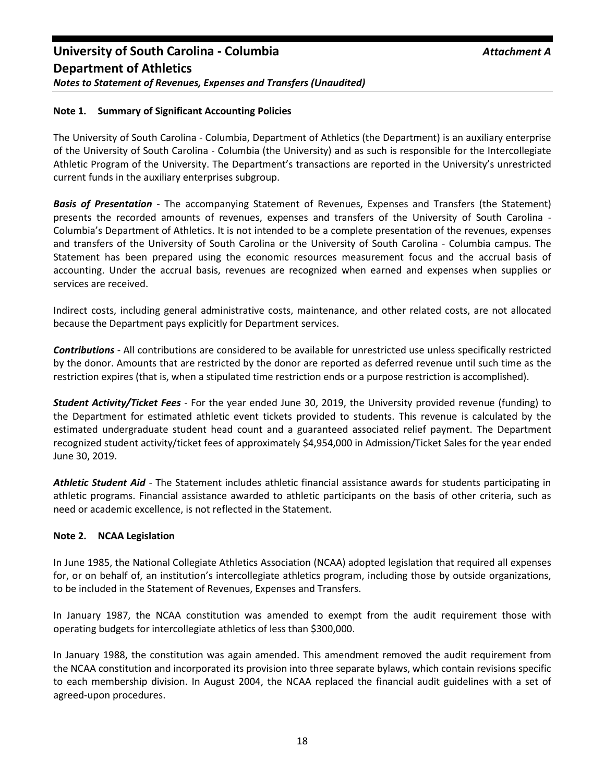# **Note 1. Summary of Significant Accounting Policies**

The University of South Carolina - Columbia, Department of Athletics (the Department) is an auxiliary enterprise of the University of South Carolina - Columbia (the University) and as such is responsible for the Intercollegiate Athletic Program of the University. The Department's transactions are reported in the University's unrestricted current funds in the auxiliary enterprises subgroup.

*Basis of Presentation* - The accompanying Statement of Revenues, Expenses and Transfers (the Statement) presents the recorded amounts of revenues, expenses and transfers of the University of South Carolina - Columbia's Department of Athletics. It is not intended to be a complete presentation of the revenues, expenses and transfers of the University of South Carolina or the University of South Carolina - Columbia campus. The Statement has been prepared using the economic resources measurement focus and the accrual basis of accounting. Under the accrual basis, revenues are recognized when earned and expenses when supplies or services are received.

Indirect costs, including general administrative costs, maintenance, and other related costs, are not allocated because the Department pays explicitly for Department services.

*Contributions* - All contributions are considered to be available for unrestricted use unless specifically restricted by the donor. Amounts that are restricted by the donor are reported as deferred revenue until such time as the restriction expires (that is, when a stipulated time restriction ends or a purpose restriction is accomplished).

*Student Activity/Ticket Fees* - For the year ended June 30, 2019, the University provided revenue (funding) to the Department for estimated athletic event tickets provided to students. This revenue is calculated by the estimated undergraduate student head count and a guaranteed associated relief payment. The Department recognized student activity/ticket fees of approximately \$4,954,000 in Admission/Ticket Sales for the year ended June 30, 2019.

*Athletic Student Aid* - The Statement includes athletic financial assistance awards for students participating in athletic programs. Financial assistance awarded to athletic participants on the basis of other criteria, such as need or academic excellence, is not reflected in the Statement.

#### **Note 2. NCAA Legislation**

In June 1985, the National Collegiate Athletics Association (NCAA) adopted legislation that required all expenses for, or on behalf of, an institution's intercollegiate athletics program, including those by outside organizations, to be included in the Statement of Revenues, Expenses and Transfers.

In January 1987, the NCAA constitution was amended to exempt from the audit requirement those with operating budgets for intercollegiate athletics of less than \$300,000.

In January 1988, the constitution was again amended. This amendment removed the audit requirement from the NCAA constitution and incorporated its provision into three separate bylaws, which contain revisions specific to each membership division. In August 2004, the NCAA replaced the financial audit guidelines with a set of agreed-upon procedures.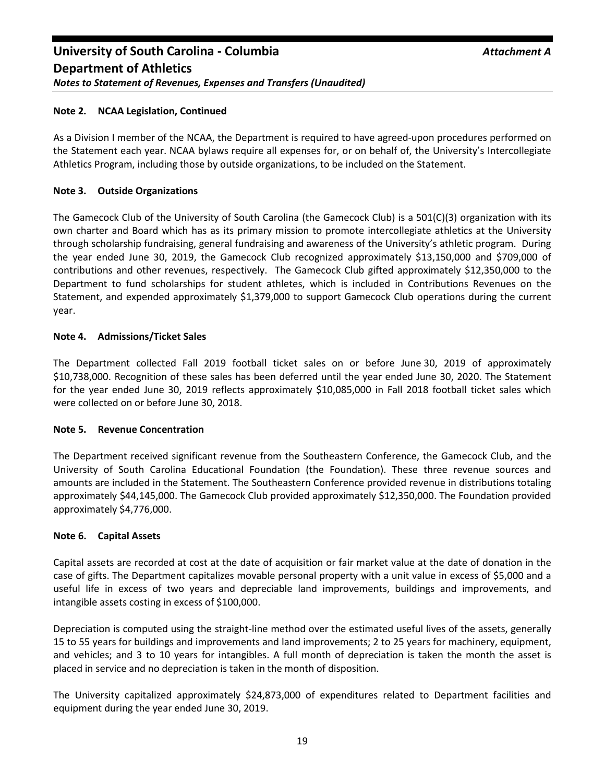# **Note 2. NCAA Legislation, Continued**

As a Division I member of the NCAA, the Department is required to have agreed-upon procedures performed on the Statement each year. NCAA bylaws require all expenses for, or on behalf of, the University's Intercollegiate Athletics Program, including those by outside organizations, to be included on the Statement.

# **Note 3. Outside Organizations**

The Gamecock Club of the University of South Carolina (the Gamecock Club) is a 501(C)(3) organization with its own charter and Board which has as its primary mission to promote intercollegiate athletics at the University through scholarship fundraising, general fundraising and awareness of the University's athletic program. During the year ended June 30, 2019, the Gamecock Club recognized approximately \$13,150,000 and \$709,000 of contributions and other revenues, respectively. The Gamecock Club gifted approximately \$12,350,000 to the Department to fund scholarships for student athletes, which is included in Contributions Revenues on the Statement, and expended approximately \$1,379,000 to support Gamecock Club operations during the current year.

# **Note 4. Admissions/Ticket Sales**

The Department collected Fall 2019 football ticket sales on or before June 30, 2019 of approximately \$10,738,000. Recognition of these sales has been deferred until the year ended June 30, 2020. The Statement for the year ended June 30, 2019 reflects approximately \$10,085,000 in Fall 2018 football ticket sales which were collected on or before June 30, 2018.

# **Note 5. Revenue Concentration**

The Department received significant revenue from the Southeastern Conference, the Gamecock Club, and the University of South Carolina Educational Foundation (the Foundation). These three revenue sources and amounts are included in the Statement. The Southeastern Conference provided revenue in distributions totaling approximately \$44,145,000. The Gamecock Club provided approximately \$12,350,000. The Foundation provided approximately \$4,776,000.

# **Note 6. Capital Assets**

Capital assets are recorded at cost at the date of acquisition or fair market value at the date of donation in the case of gifts. The Department capitalizes movable personal property with a unit value in excess of \$5,000 and a useful life in excess of two years and depreciable land improvements, buildings and improvements, and intangible assets costing in excess of \$100,000.

Depreciation is computed using the straight-line method over the estimated useful lives of the assets, generally 15 to 55 years for buildings and improvements and land improvements; 2 to 25 years for machinery, equipment, and vehicles; and 3 to 10 years for intangibles. A full month of depreciation is taken the month the asset is placed in service and no depreciation is taken in the month of disposition.

The University capitalized approximately \$24,873,000 of expenditures related to Department facilities and equipment during the year ended June 30, 2019.